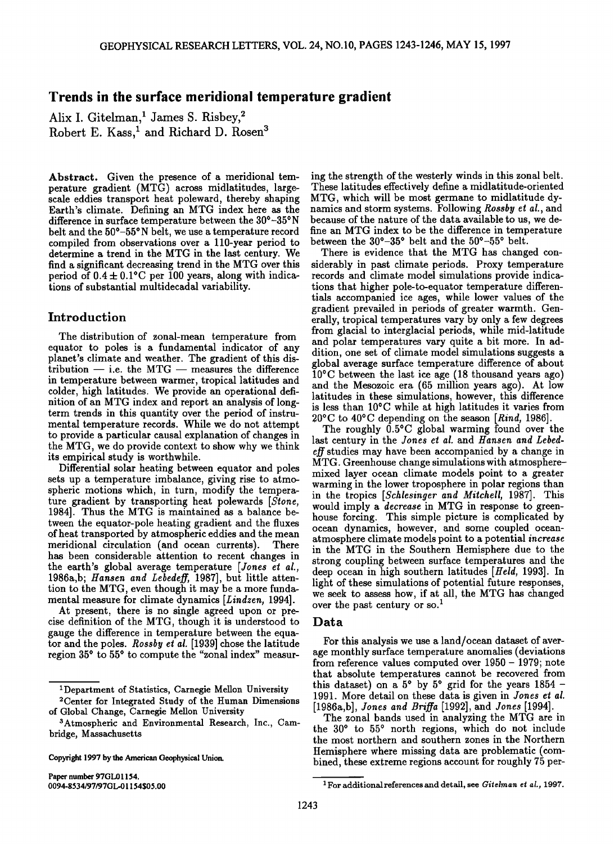# **Trends in the surface meridional temperature gradient**

Alix I. Gitelman,<sup>1</sup> James S. Risbey,<sup>2</sup> Robert E. Kass,<sup>1</sup> and Richard D. Rosen<sup>3</sup>

**Abstract. Given the presence of a meridional temperature gradient (MTG) across midlatitudes, largescale eddies transport heat poleward, thereby shaping Earth's climate. Defining an MTG index here as the difference in surface temperature between the 30ø-3\$øN**  belt and the  $50^{\circ}-55^{\circ}$  N belt, we use a temperature record **compiled from observations over a 110-year period to determine a trend in the MTG in the last century. We find a significant decreasing trend in the MTG over this**  period of  $0.4 \pm 0.1$ °C per 100 years, along with indica**tions of substantial multidecadal variability.** 

## **Introduction**

**The distribution of zonal-mean temperature from equator to poles is a fundamental indicator of any planet's climate and weather. The gradient of this dis** $t$ ribution  $-$  *i.e.* the MTG  $-$  measures the difference **in temperature between warmer, tropical latitudes and colder, high latitudes. We provide an operational definition of an MTG index and report an analysis of longterm trends in this quantity over the period of instrumental temperature records. While we do not attempt to provide a particular causal explanation of changes in the MTG, we do provide context to show why we think its empirical study is worthwhile.** 

**Differential solar heating between equator and poles sets up a temperature imbalance, giving rise to atmospheric motions which, in turn, modify the temperature gradient by transporting heat polewards [Stone, 1984]. Thus the MTG is maintained as a balance between the equator-pole heating gradient and the fluxes of heat transported by atmospheric eddies and the mean**  meridional circulation (and ocean currents). **has been considerable attention to recent changes in**  the earth's global average temperature [Jones et al., **19864,b; Hansen and Lebedeff, 1987], but little attention to the MTG, even though it may be a more fundamental measure for climate dynamics [Lindzen, 1994].** 

**At present, there is no single agreed upon or precise definition of the MTG, though it is understood to gauge the difference in temperature between the equa**tor and the poles. *Rossby et al.* [1939] chose the latitude region 35<sup>°</sup> to 55<sup>°</sup> to compute the "zonal index" measur-

**Copyright 1997 by the Amerienn Geophysical Union.** 

**Paper number 97GL01154. 0094-8534/97/97GL.01154505.00** 

**ing the strength of the westerly winds in this zonal belt. These latitudes effectively define a midlatitude-oriented MTG, which will be most germane to midlatitude dynamics and storm systems. Following Rossby et al., and because of the nature of the data available to us, we define an MTG index to be the difference in temperature**  between the 30°-35° belt and the 50°-55° belt.

**There is evidence that the MTG has changed considerably in past climate periods. Proxy temperature records and climate model simulations provide indications that higher pole-to-equator temperature differentials accompanied ice ages, while lower values of the gradient prevailed in periods of greater warmth. Generally, tropical temperatures vary by only a few degrees from glacial to interglacial periods, while mid-latitude and polar temperatures vary quite a bit more. In addition, one set of climate model simulations suggests a global average surface temperature difference of about 10øC between the last ice age (18 thousand years ago) and the Mesozoic era (65 million years ago). At low latitudes in these simulations, however, this difference is less than 10øC while at high latitudes it varies from 20øC to 40øC depending on the season [Rind, 1986].** 

**The roughly 0.5øC global warming found over the last century in the Jones et al. and Hansen and Lebedeff studies may have been accompanied by a change in MTG. Greenhouse change simulations with atmospheremixed layer ocean climate models point to a greater warming in the lower troposphere in polar regions than in the tropics [Schlesinger and Mitchell, 1987]. This would imply a decrease in MTG in response to greenhouse forcing. This simple picture is complicated by ocean dynamics, however, and some coupled oceanatmosphere climate models point to a potential increase in the MTG in the Southern Hemisphere due to the strong coupling between surface temperatures and the deep ocean in high southern latitudes [Held, 1993]. In light of these simulations of potential future responses, we seek to assess how, if at all, the MTG has changed**  over the past century or so.<sup>1</sup>

#### **Data**

**For this analysis we use a land/ocean dataset of average monthly surface temperature anomalies (deviations from reference values computed over 1950- 1979; note that absolute temperatures cannot be recovered from**  this dataset) on a  $5^{\circ}$  by  $5^{\circ}$  grid for the years  $1854$  -**1991. More detail on these data is given in Jones et al. [19864,b], Jones and Briffa [1992], and Jones [1994].** 

**The zonal bands used in analyzing the MTG are in the 300 to 550 north regions, which do not include the most northern and southern zones in the Northern Hemisphere where missing data are problematic (combined, these extreme regions account for roughly 75 per-**

**<sup>•</sup>Department of Statistics, Carnegie Mellon University** 

**<sup>2</sup>Center for Integrated Study of the Human Dimensions of Global Change, Carnegie Mellon University** 

**a Atmospheric and Environmental Research, Inc., Cambridge, Massachusetts** 

<sup>&</sup>lt;sup>1</sup> For additional references and detail, see Gitelman et al., 1997.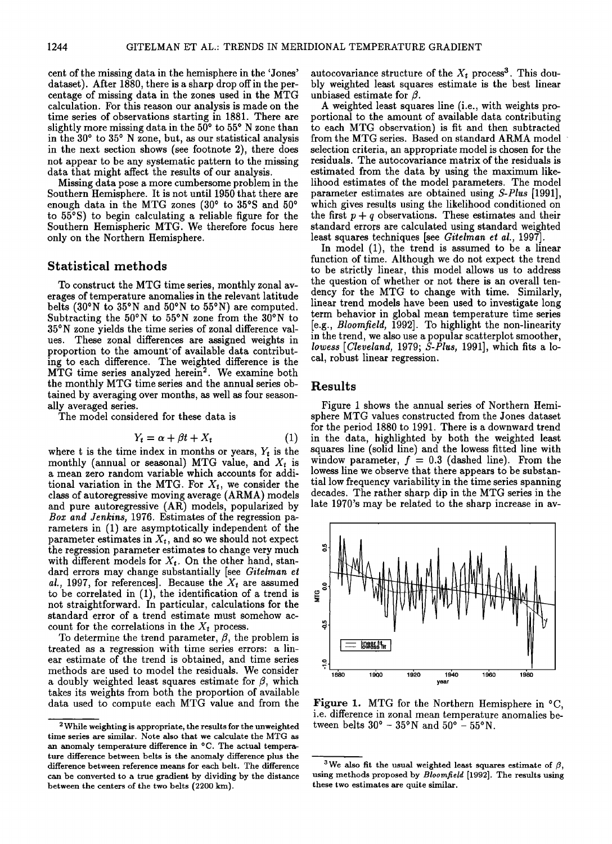**cent of the missing data in the hemisphere in the 'Jones' dataset). After 1880, there is a sharp drop off in the percentage of missing data in the zones used in the MTG calculation. For this reason our analysis is made on the time series of observations starting in 1881. There are**  slightly more missing data in the 50<sup>°</sup> to 55<sup>°</sup> N zone than in the 30<sup>°</sup> to 35<sup>°</sup> N zone, but, as our statistical analysis **in the next section shows (see footnote 2), there does not appear to be any systematic pattern to the missing data that might affect the results of our analysis.** 

**Missing data pose a more cumbersome problem in the Southern Hemisphere. It is not until 1950 that there are**  enough data in the MTG zones (30° to 35°S and 50° **to 55øS) to begin calculating a reliable figure for the Southern Hemispheric MTG. We therefore focus here only on the Northern Hemisphere.** 

# **Statistical methods**

**To construct the MTG time series, monthly zonal averages of temperature anomalies in the relevant latitude**  belts  $(30°N \text{ to } 35°N \text{ and } 50°N \text{ to } 55°N)$  are computed. Subtracting the 50°N to 55°N zone from the 30°N to **35•N zone yields the time series of zonal difference values. These zonal differences are assigned weights in**  proportion to the amount of available data contribut**ing to each difference. The weighted difference is the MTG time series analyzed herein 2. We examine both the monthly MTG time series and the annual series obtained by averaging over months, as well as four seasonally averaged series.** 

**The model considered for these data is** 

$$
Y_t = \alpha + \beta t + X_t \tag{1}
$$

where t is the time index in months or years,  $Y_t$  is the monthly (annual or seasonal) MTG value, and  $X_t$  is **a mean zero random variable which accounts for addi**tional variation in the MTG. For  $X_t$ , we consider the **class of autoregressive moving average (ARMA) models and pure autoregressive (AR) models, popularized by Box and Jenkins, 1976. Estimates of the regression parameters in (1) are asymptotically independent of the**  parameter estimates in  $X_t$ , and so we should not expect **the regression parameter estimates to change very much**  with different models for  $X_t$ . On the other hand, stan**dard errors may change substantially [see Gitelman et**  al., 1997, for references]. Because the  $X_t$  are assumed **to be correlated in (1), the identification of a trend is not straightforward. In particular, calculations for the standard error of a trend estimate must somehow ac**count for the correlations in the  $X_t$  process.

To determine the trend parameter,  $\beta$ , the problem is **treated as a regression with time series errors: a linear estimate of the trend is obtained, and time series methods are used to model the residuals. We consider a** doubly weighted least squares estimate for  $\beta$ , which **takes its weights from both the proportion of available data used to compute each MTG value and from the**  autocovariance structure of the  $X_t$  process<sup>3</sup>. This dou**bly weighted least squares estimate is the best linear**  unbiased estimate for  $\beta$ .

**A weighted least squares line (i.e., with weights proportional to the amount of available data contributing to each MTG observation) is fit and then subtracted from the MTG series. Based on standard ARMA model selection criteria, an appropriate model is chosen for the residuals. The autocovariance matrix of the residuals is estimated from the data by using the maximum likelihood estimates of the model parameters. The model parameter estimates are obtained using S-Plus [1991], which gives results using the likelihood conditioned on**  the first  $p + q$  observations. These estimates and their **standard errors are calculated using standard weighted least squares techniques [see Gitelman et al., 1997].** 

**In model (1), the trend is assumed to be a linear function of time. Although we do not expect the trend to be strictly linear, this model allows us to address the question of whether or not there is an overall tendency for the MTG to change with time. Similarly, linear trend models have been used to investigate long term behavior in global mean temperature time series [e.g., Bloomfield, 1992]. To highlight the non-linearity in the trend, we also use a popular scatterplot smoother, lowess [Cleveland, 1979; S-Plus, 1991], which fits a local, robust linear regression.** 

### **Results**

**Figure 1 shows the annual series of Northern Hemisphere MTG values constructed from the Jones dataset for the period 1880 to 1991. There is a downward trend in the data, highlighted by both the weighted least squares line (solid line) and the lowess fitted line with**  window parameter,  $f = 0.3$  (dashed line). From the **lowess line we observe that there appears to be substantial low frequency variability in the time series spanning decades. The rather sharp dip in the MTG series in the late 1970's may be related to the sharp increase in av-** 



**Figure 1. MTG for the Northern Hemisphere in øC, i.e. difference in zonal mean temperature anomalies be**tween belts  $30^{\circ}$  –  $35^{\circ}$ N and  $50^{\circ}$  –  $55^{\circ}$ N.

**<sup>2</sup> While weighting is appropriate, the results for the unweighted time series are similar. Note also that we calculate the MTG as an anomaly temperature difference in øC. The actual temperature difference between belts is the anomaly difference plus the difference between reference means for each belt. The difference can be converted to a true gradient by dividing by the distance**  between the centers of the two belts (2200 km).

<sup>&</sup>lt;sup>3</sup>We also fit the usual weighted least squares estimate of  $\beta$ , **using methods proposed by Bloomfield [1992]. The results using these two estimates are quite similar.**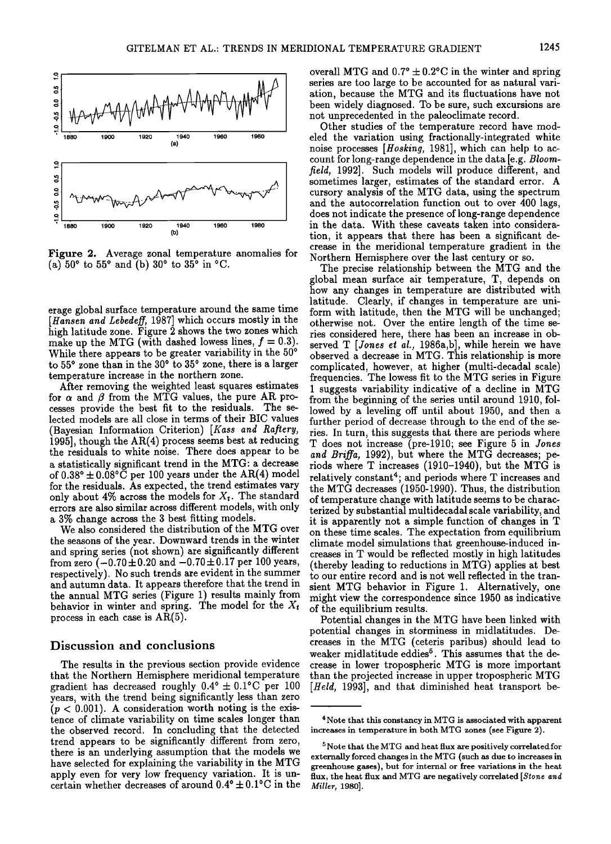

**Figure 2. Average zonal temperature anomalies for**   $(a) 50^{\circ}$  to 55<sup>°</sup> and (b) 30<sup>°</sup> to 35<sup>°</sup> in  $^{\circ}$ C.

**erage global surface temperature around the same time [Hansen and Lebedeff, 1987] which occurs mostly in the high latitude zone. Figure 2 shows the two zones which**  make up the MTG (with dashed lowess lines,  $f = 0.3$ ). While there appears to be greater variability in the 50<sup>°</sup> to 55° zone than in the 30° to 35° zone, there is a larger **temperature increase in the northern zone.** 

**After removing the weighted least squares estimates**  for  $\alpha$  and  $\beta$  from the MTG values, the pure AR pro**cesses provide the best fit to the residuals. The selected models are all close in terms of their BIC values (Bayesian Information Criterion) [Kass and Rafiery, 1995], though the AR(4) process seems best at reducing the residuals to white noise. There does appear to be a statistically significant trend in the MTG: a decrease**  of  $0.38^{\circ} \pm 0.08^{\circ}$  C per 100 years under the AR(4) model **for the residuals. As expected, the trend estimates vary**  only about  $4\%$  across the models for  $X_t$ . The standard **errors are also similar across different models, with only a 3% change across the 3 best fitting models.** 

**We also considered the distribution of the MTG over the seasons of the year. Downward trends in the winter and spring series (not shown) are significantly different**  from zero  $(-0.70 \pm 0.20$  and  $-0.70 \pm 0.17$  per 100 years, **respectively). No such trends are evident in the summer and autumn data. It appears therefore that the trend in the annual MTG series (Figure 1) results mainly from**  behavior in winter and spring. The model for the  $X_t$ **process in each case is AR(5).** 

### **Discussion and conclusions**

**The results in the previous section provide evidence that the Northern Hemisphere meridional temperature**  gradient has decreased roughly  $0.4^{\circ} \pm 0.1^{\circ}$ C per 100 **years, with the trend being significantly less than zero (p < 0.001). A consideration worth noting is the existence of climate variability on time scales longer than the observed record. In concluding that the detected trend appears to be significantly different from zero, there is an underlying assumption that the models we have selected for explaining the variability in the MTG apply even for very low frequency variation. It is un**certain whether decreases of around  $0.4^{\circ} \pm 0.1^{\circ}$ C in the overall MTG and  $0.7^{\circ} \pm 0.2^{\circ}$ C in the winter and spring **series are too large to be accounted for as natural variation, because the MTG and its fluctuations have not been widely diagnosed. To be sure, such excursions are not unprecedented in the paleoclimate record.** 

**Other studies of the temperature record have modeled the variation using fractionally-integrated white noise processes [Hosking, 1981], which can help to account for long-range dependence in the data [e.g. Bloomfield, 1992]. Such models will produce different, and sometimes larger, estimates of the standard error. A cursory analysis of the MTG data, using the spectrum and the autocorrelation function out to over 400 lags, does not indicate the presence of long-range dependence in the data. With these caveats taken into consideration, it appears that there has been a significant decrease in the meridional temperature gradient in the Northern Hemisphere over the last century or so.** 

**The precise relationship between the MTG and the global mean surface air temperature, T, depends on how any changes in temperature are distributed with latitude. Clearly, if changes in temperature are uniform with latitude, then the MTG will be unchanged; otherwise not. Over the entire length of the time series considered here, there has been an increase in observed T [Jones ei al., 1986a,b], while herein we have observed a decrease in MTG. This relationship is more complicated, however, at higher (multi-decadal scale) frequencies. The lowess fit to the MTG series in Figure I suggests variability indicative of a decline in MTG from the beginning of the series until around 1910, followed by a leveling off until about 1950, and then a further period of decrease through to the end of the series. In turn, this suggests that there are periods where T does not increase (pre-1910; see Figure 5 in Jones and Briffa, 1992), but where the MTG decreases; periods where T increases (1910-1940), but the MTG is relatively constant4; and periods where T increases and the MTG decreases (1950-1990). Thus, the distribution of temperature change with latitude seems to be characterized by substantial multidecadal scale variability, and it is appgrently not a simple function of changes in T on these time scales. The expectation from equilibrium climate model simulations that greenhouse-induced increases in T would be reflected mostly in high latitudes (thereby leading to reductions in MTG) applies at best to our entire record and is not well reflected in the transient MTG behavior in Figure 1. Alternatively, one might view the correspondence since 1950 as indicative of the equilibrium results.** 

**Potential changes in the MTG have been linked with potential changes in storminess in midlatitudes. Decreases in the MTG (ceteris paribus) should lead to**  weaker midlatitude eddies<sup>5</sup>. This assumes that the de**crease in lower tropospheric MTG is more important than the projected increase in upper tropospheric MTG [Held, 1993], and that diminished heat transport be-**

**<sup>4</sup> Note that this constancy in MTG is associated with apparent increases in temperature in both MTG zones (see Figure 2).** 

**<sup>5</sup> Note that the MTG and heat flux are positively correlated for externally forced changes in the MTG (such as due to increases in greenhouse gases), but for internal or free variations in the heat flux, the heat flux and MTG are negatively correlated [Stone and Miller, 1980].**